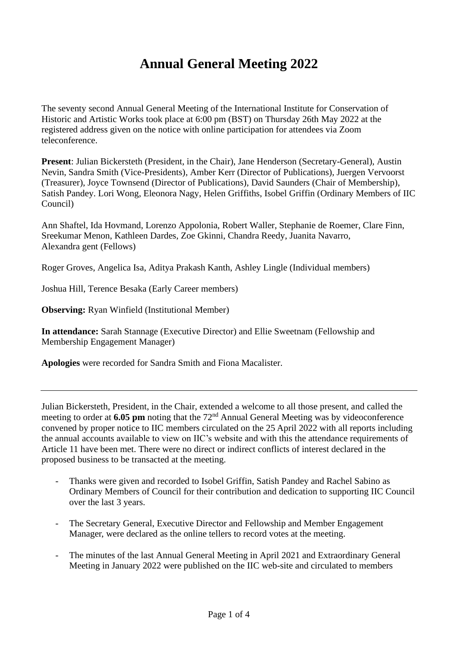# **Annual General Meeting 2022**

The seventy second Annual General Meeting of the International Institute for Conservation of Historic and Artistic Works took place at 6:00 pm (BST) on Thursday 26th May 2022 at the registered address given on the notice with online participation for attendees via Zoom teleconference.

**Present**: Julian Bickersteth (President, in the Chair), Jane Henderson (Secretary-General), Austin Nevin, Sandra Smith (Vice-Presidents), Amber Kerr (Director of Publications), Juergen Vervoorst (Treasurer), Joyce Townsend (Director of Publications), David Saunders (Chair of Membership), Satish Pandey. Lori Wong, Eleonora Nagy, Helen Griffiths, Isobel Griffin (Ordinary Members of IIC Council)

Ann Shaftel, Ida Hovmand, Lorenzo Appolonia, Robert Waller, Stephanie de Roemer, Clare Finn, Sreekumar Menon, Kathleen Dardes, Zoe Gkinni, Chandra Reedy, Juanita Navarro, Alexandra gent (Fellows)

Roger Groves, Angelica Isa, Aditya Prakash Kanth, Ashley Lingle (Individual members)

Joshua Hill, Terence Besaka (Early Career members)

**Observing:** Ryan Winfield (Institutional Member)

**In attendance:** Sarah Stannage (Executive Director) and Ellie Sweetnam (Fellowship and Membership Engagement Manager)

**Apologies** were recorded for Sandra Smith and Fiona Macalister.

Julian Bickersteth, President, in the Chair, extended a welcome to all those present, and called the meeting to order at 6.05 pm noting that the 72<sup>nd</sup> Annual General Meeting was by videoconference convened by proper notice to IIC members circulated on the 25 April 2022 with all reports including the annual accounts available to view on IIC's website and with this the attendance requirements of Article 11 have been met. There were no direct or indirect conflicts of interest declared in the proposed business to be transacted at the meeting.

- *-* Thanks were given and recorded to Isobel Griffin, Satish Pandey and Rachel Sabino as Ordinary Members of Council for their contribution and dedication to supporting IIC Council over the last 3 years.
- *-* The Secretary General, Executive Director and Fellowship and Member Engagement Manager, were declared as the online tellers to record votes at the meeting.
- *-* The minutes of the last Annual General Meeting in April 2021 and Extraordinary General Meeting in January 2022 were published on the IIC web-site and circulated to members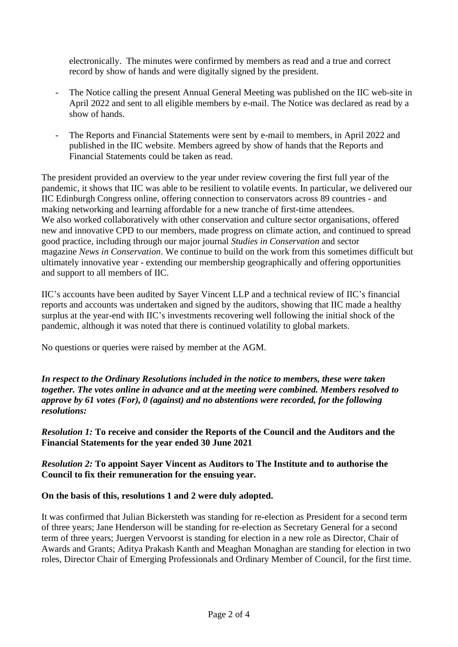electronically. The minutes were confirmed by members as read and a true and correct record by show of hands and were digitally signed by the president.

- *-* The Notice calling the present Annual General Meeting was published on the IIC web-site in April 2022 and sent to all eligible members by e-mail. The Notice was declared as read by a show of hands.
- The Reports and Financial Statements were sent by e-mail to members, in April 2022 and published in the IIC website. Members agreed by show of hands that the Reports and Financial Statements could be taken as read.

The president provided an overview to the year under review covering the first full year of the pandemic, it shows that IIC was able to be resilient to volatile events. In particular, we delivered our IIC Edinburgh Congress online, offering connection to conservators across 89 countries - and making networking and learning affordable for a new tranche of first-time attendees. We also worked collaboratively with other conservation and culture sector organisations, offered new and innovative CPD to our members, made progress on climate action, and continued to spread good practice, including through our major journal *Studies in Conservation* and sector magazine *News in Conservation*. We continue to build on the work from this sometimes difficult but ultimately innovative year - extending our membership geographically and offering opportunities and support to all members of IIC.

IIC's accounts have been audited by Sayer Vincent LLP and a technical review of IIC's financial reports and accounts was undertaken and signed by the auditors, showing that IIC made a healthy surplus at the year-end with IIC's investments recovering well following the initial shock of the pandemic, although it was noted that there is continued volatility to global markets.

No questions or queries were raised by member at the AGM.

*In respect to the Ordinary Resolutions included in the notice to members, these were taken together. The votes online in advance and at the meeting were combined. Members resolved to approve by 61 votes (For), 0 (against) and no abstentions were recorded, for the following resolutions:*

*Resolution 1:* **To receive and consider the Reports of the Council and the Auditors and the Financial Statements for the year ended 30 June 2021**

*Resolution 2:* **To appoint Sayer Vincent as Auditors to The Institute and to authorise the Council to fix their remuneration for the ensuing year.**

**On the basis of this, resolutions 1 and 2 were duly adopted.**

It was confirmed that Julian Bickersteth was standing for re-election as President for a second term of three years; Jane Henderson will be standing for re-election as Secretary General for a second term of three years; Juergen Vervoorst is standing for election in a new role as Director, Chair of Awards and Grants; Aditya Prakash Kanth and Meaghan Monaghan are standing for election in two roles, Director Chair of Emerging Professionals and Ordinary Member of Council, for the first time.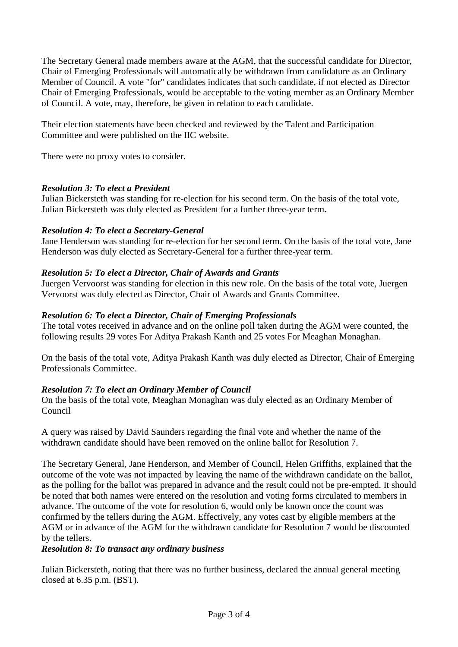The Secretary General made members aware at the AGM, that the successful candidate for Director, Chair of Emerging Professionals will automatically be withdrawn from candidature as an Ordinary Member of Council. A vote "for" candidates indicates that such candidate, if not elected as Director Chair of Emerging Professionals, would be acceptable to the voting member as an Ordinary Member of Council. A vote, may, therefore, be given in relation to each candidate.

Their election statements have been checked and reviewed by the Talent and Participation Committee and were published on the IIC website.

There were no proxy votes to consider.

## *Resolution 3: To elect a President*

Julian Bickersteth was standing for re-election for his second term. On the basis of the total vote, Julian Bickersteth was duly elected as President for a further three-year term**.**

## *Resolution 4: To elect a Secretary-General*

Jane Henderson was standing for re-election for her second term. On the basis of the total vote, Jane Henderson was duly elected as Secretary-General for a further three-year term.

### *Resolution 5: To elect a Director, Chair of Awards and Grants*

Juergen Vervoorst was standing for election in this new role. On the basis of the total vote, Juergen Vervoorst was duly elected as Director, Chair of Awards and Grants Committee.

### *Resolution 6: To elect a Director, Chair of Emerging Professionals*

The total votes received in advance and on the online poll taken during the AGM were counted, the following results 29 votes For Aditya Prakash Kanth and 25 votes For Meaghan Monaghan.

On the basis of the total vote, Aditya Prakash Kanth was duly elected as Director, Chair of Emerging Professionals Committee.

## *Resolution 7: To elect an Ordinary Member of Council*

On the basis of the total vote, Meaghan Monaghan was duly elected as an Ordinary Member of Council

A query was raised by David Saunders regarding the final vote and whether the name of the withdrawn candidate should have been removed on the online ballot for Resolution 7.

The Secretary General, Jane Henderson, and Member of Council, Helen Griffiths, explained that the outcome of the vote was not impacted by leaving the name of the withdrawn candidate on the ballot, as the polling for the ballot was prepared in advance and the result could not be pre-empted. It should be noted that both names were entered on the resolution and voting forms circulated to members in advance. The outcome of the vote for resolution 6, would only be known once the count was confirmed by the tellers during the AGM. Effectively, any votes cast by eligible members at the AGM or in advance of the AGM for the withdrawn candidate for Resolution 7 would be discounted by the tellers.

#### *Resolution 8: To transact any ordinary business*

Julian Bickersteth, noting that there was no further business, declared the annual general meeting closed at 6.35 p.m. (BST).